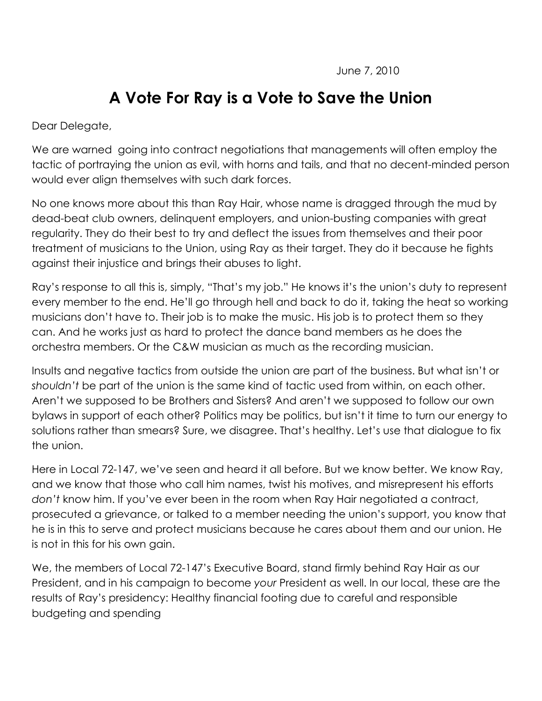## **A Vote For Ray is a Vote to Save the Union**

Dear Delegate,

We are warned going into contract negotiations that managements will often employ the tactic of portraying the union as evil, with horns and tails, and that no decent-minded person would ever align themselves with such dark forces.

No one knows more about this than Ray Hair, whose name is dragged through the mud by dead-beat club owners, delinquent employers, and union-busting companies with great regularity. They do their best to try and deflect the issues from themselves and their poor treatment of musicians to the Union, using Ray as their target. They do it because he fights against their injustice and brings their abuses to light.

Ray's response to all this is, simply, "That's my job." He knows it's the union's duty to represent every member to the end. He'll go through hell and back to do it, taking the heat so working musicians don't have to. Their job is to make the music. His job is to protect them so they can. And he works just as hard to protect the dance band members as he does the orchestra members. Or the C&W musician as much as the recording musician.

Insults and negative tactics from outside the union are part of the business. But what isn't or *shouldn't* be part of the union is the same kind of tactic used from within, on each other. Aren't we supposed to be Brothers and Sisters? And aren't we supposed to follow our own bylaws in support of each other? Politics may be politics, but isn't it time to turn our energy to solutions rather than smears? Sure, we disagree. That's healthy. Let's use that dialogue to fix the union.

Here in Local 72-147, we've seen and heard it all before. But we know better. We know Ray, and we know that those who call him names, twist his motives, and misrepresent his efforts *don't* know him. If you've ever been in the room when Ray Hair negotiated a contract, prosecuted a grievance, or talked to a member needing the union's support, you know that he is in this to serve and protect musicians because he cares about them and our union. He is not in this for his own gain.

We, the members of Local 72-147's Executive Board, stand firmly behind Ray Hair as our President, and in his campaign to become *your* President as well. In our local, these are the results of Ray's presidency: Healthy financial footing due to careful and responsible budgeting and spending